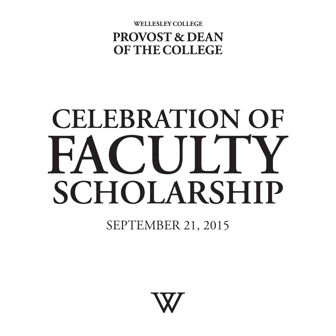# **WELLESLEY COLLEGE PROVOST & DEAN** OF THE COLLEGE

# **CELEBRATION OF**  $\left( \begin{array}{c} 1 \\ 1 \end{array} \right)$ **SCHOLARSHIP**

SEPTEMBER 21, 2015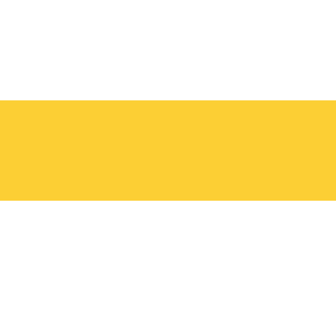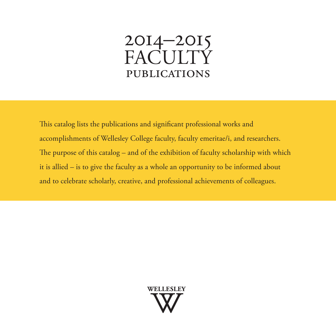# 2014–2015 FACULTÝ publications

This catalog lists the publications and significant professional works and accomplishments of Wellesley College faculty, faculty emeritae/i, and researchers. The purpose of this catalog – and of the exhibition of faculty scholarship with which it is allied – is to give the faculty as a whole an opportunity to be informed about and to celebrate scholarly, creative, and professional achievements of colleagues.

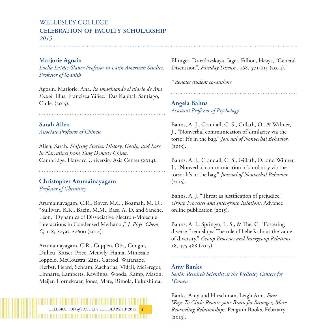# WELLESLEY COLLEGE **CELEBRATION OF FACULTY SCHOLARSHIP** *2015*

#### **Marjorie Agosín**

*Luella LaMer Slaner Professor in Latin American Studies, Professor of Spanish*

Agosin, Marjorie. Ana. *Re imaginando el diario de Ana Frank.* Illus. Francisca Yáñez. Das Kapital: Santiago, Chile. (2015).

#### **Sarah Allen**

*Associate Professor of Chinese*

Allen, Sarah. *Shifting Stories: History, Gossip, and Lore in Narratives from Tang Dynasty China.* Cambridge: Harvard University Asia Center (2014).

## **Christopher Arumainayagam** *Professor of Chemistry*

Arumainayagam, C.R., Boyer, M.C., Boamah, M. D., \*Sullivan, K.K., Bazin, M.M., Bass, A. D. and Sanche, Léon, "Dynamics of Dissociative Electron-Molecule Interactions in Condensed Methanol," *J. Phys. Chem. C,* 118, 22592-22600 (2014).

Arumainayagam, C.R., Cuppen, Oba, Congiu, Dulieu, Kaiser, Price, Meuwly, Hama, Minissale, Ioppolo, McCoustra, Zins, Garrod, Watanabe, Herbst, Heard, Schram, Zacharias, Vidali, McGregor, Linnartz, Lamberts, Rawlings, Woods, Kamp, Mason, Meijer, Hornekraer, Jones, Mate, Rimola, Fukushima,

CELEBRATION *of* FACULTY SCHOLARSHIP 2015 *4*

Ellinger, Drozdovskaya, Jager, Fillion, Heays, "General Discussion", *Faraday Discuss.*, 168, 571-615 (2014).

*\* denotes student co-authors*

**Angela Bahns** *Assistant Professor of Psychology*

Bahns, A. J., Crandall, C. S., Gillath, O., & Wilmer, J., "Nonverbal communication of similarity via the torso: It's in the bag." *Journal of Nonverbal Behavior.*   $(2015).$ 

Bahns, A. J., Crandall, C. S., Gillath, O., and Wilmer, J., "Nonverbal communication of similarity via the torso: It's in the bag." *Journal of Nonverbal Behavior*   $(2015).$ 

Bahns, A. J. "Threat as justification of prejudice." *Group Processes and Intergroup Relations*. Advance online publication (2015).

Bahns, A. J., Springer, L. S., & The, C. "Fostering diverse friendships: The role of beliefs about the value of diversity." *Group Processes and Intergroup Relations*, 18, 475-488 (2015).

#### **Amy Banks**

*Senior Research Scientist at the Wellesley Centers for Women*

Banks, Amy and Hirschman, Leigh Ann. *Four Ways To Click: Rewire your Brain for Stronger, More Rewarding Relationships.* Penguin Books, February  $(2015).$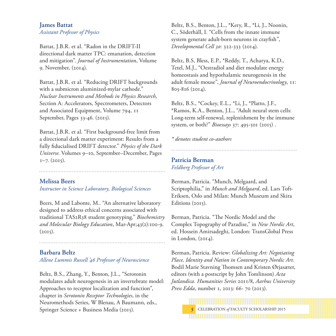# **James Battat**

*Assistant Professor of Physics*

Battat, J.B.R. et al. "Radon in the DRIFT-II directional dark matter TPC: emanation, detection and mitigation". *Journal of Instrumentation*, Volume 9. November, (2014).

Battat, J.B.R. et al. "Reducing DRIFT backgrounds with a submicron aluminized-mylar cathode." *Nuclear Instruments and Methods in Physics Research*, Section A: Accelerators, Spectrometers, Detectors and Associated Equipment, Volume 794, 11 September, Pages 33-46. (2015).

Battat, J.B.R. et al. "First background-free limit from a directional dark matter experiment: Results from a fully fiducialised DRIFT detector." *Physics of the Dark Universe*. Volumes 9–10, September–December, Pages  $I-7.$  (2015).

#### **Melissa Beers**

*Instructor in Science Laboratory, Biological Sciences*

Beers, M and Labonte, M.. "An alternative laboratory designed to address ethical concerns associated with traditional TAS2R38 student genotyping." *Biochemistry and Molecular Biology Education*, Mar-Apr;43(2):100-9.  $(2015).$ 

**Barbara Beltz** *Allene Lummis Russell '46 Professor of Neuroscience*

Beltz, B.S., Zhang, Y., Benton, J.L., "Serotonin modulates adult neurogenesis in an invertebrate model: Approaches to receptor localization and function", chapter in *Serotonin Receptor Technologies*, in the Neuromethods Series, W Blenau, A Baumann, eds., Springer Science + Business Media (2015).

Beltz, B.S., Benton, J.L., \*Kery, R., \*Li, J., Noonin, C., Söderhäll, I. "Cells from the innate immune system generate adult-born neurons in crayfish", *Developmental Cell 30*: 322-333 (2014).

Beltz, B.S, Bless, E.P., \*Reddy, T., Acharya, K.D., Tetel, M.J., "Oestradiol and diet modulate energy homeostasis and hypothalamic neurogenesis in the adult female mouse", *Journal of Neuroendocrinology*, 11: 805-816 (2014).

Beltz, B.S., \*Cockey, E.L., \*Li, J., \*Platto, J.F., \*Ramos, K.A., Benton, J.L., "Adult neural stem cells: Long-term self-renewal, replenishment by the immune system, or both?" *Bioessays* 37: 495-501 (2015) .

*\* denotes student co-authors*

# **Patricia Berman** *Feldberg Professor of Art*

Berman, Patricia. "Munch, Melgaard, and Scriptophilia," in *Munch and Melgaard*, ed. Lars Toft-Eriksen, Oslo and Milan: Munch Museum and Skira Editions (2015).

Berman, Patricia. "The Nordic Model and the Complex Topography of Paradise," in *New Nordic Art*, ed. Hossein Amirsadeghi, London: TransGlobal Press in London, (2014).

Berman, Patricia. Review: *Globalizing Art: Negotiating Place, Identity and Nation in Contemporary Nordic Art*. Bodil Marie Stavning Thomsen and Kristen Ørjasæter, editors (with a postscript by John Tomlinson) *Acta Jutlandica. Humanities Series* 2011/8, *Aarhus University Press Edda*, number 1, 2013: 66- 70 (2013).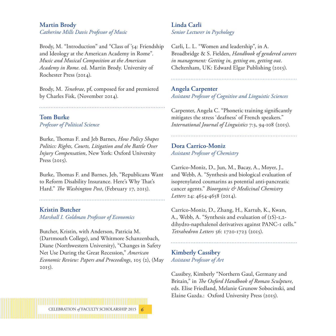#### **Martin Brody**

*Catherine Mills Davis Professor of Music*

Brody, M. "Introduction" and "Class of '54: Friendship and Ideology at the American Academy in Rome". *Music and Musical Composition at the American Academy in Rome*. ed. Martin Brody. University of Rochester Press (2014).

Brody, M. *Tenebrae*, pf, composed for and premiered by Charles Fisk, (November 2014).

# **Tom Burke**

*Professor of Political Science*

Burke, Thomas F. and Jeb Barnes, *How Policy Shapes Politics: Rights, Courts, Litigation and the Battle Over Injury Compensation*, New York: Oxford University Press (2015).

Burke, Thomas F. and Barnes, Jeb, "Republicans Want to Reform Disability Insurance. Here's Why That's Hard." *The Washington Post*, (February 17, 2015).

#### **Kristin Butcher**

*Marshall I. Goldman Professor of Economics*

Butcher, Kristin, with Anderson, Patricia M. (Dartmouth College), and Whitmore Schanzenbach, Diane (Northwestern University), "Changes in Safety Net Use During the Great Recession," *American Economic Review: Papers and Proceedings*, 105 (2), (May 2015).

## **Linda Carli** *Senior Lecturer in Psychology*

Carli, L. L. "Women and leadership", in A. Broadbridge & S. Fielden, *Handbook of gendered careers in management: Getting in, getting on, getting out*. Cheltenham, UK: Edward Elgar Publishing (2015).

**Angela Carpenter** *Assistant Professor of Cognitive and Linguistic Sciences*

Carpenter, Angela C. "Phonetic training significantly mitigates the stress 'deafness' of French speakers." *International Journal of Linguistics* 7:3, 94-108 (2015).

# **Dora Carrico-Moniz** *Assistant Professor of Chemistry*

Carrico-Moniz, D., Jun, M., Bacay, A., Moyer, J., and Webb, A. "Synthesis and biological evaluation of isoprenylated coumarins as potential anti-pancreatic cancer agents." *Bioorganic & Medicinal Chemistry Letters* 24: 4654-4658 (2014).

Carrico-Moniz, D., Zhang, H., Kartub, K., Kwan, A., Webb, A. "Synthesis and evaluation of (1S)-1,2 dihydro-napthalenol derivatives against PANC-1 cells." *Tetrahedron Letters* 56: 1720-1723 (2015).

## **Kimberly Cassibry** *Assistant Professor of Art*

Cassibry, Kimberly "Northern Gaul, Germany and Britain," in *The Oxford Handbook of Roman Sculpture*, eds. Elise Friedland, Melanie Grunow Sobocinski, and Elaine Gazda.: Oxford University Press (2015).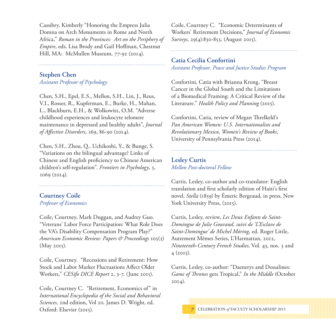Cassibry, Kimberly "Honoring the Empress Julia Domna on Arch Monuments in Rome and North Africa," *Roman in the Provinces: Art on the Periphery of Empire*, eds. Lisa Brody and Gail Hoffman, Chestnut Hill, MA: McMullen Museum, 77-92 (2014).

# **Stephen Chen**

*Assistant Professor of Psychology*

Chen, S.H., Epel, E.S., Mellon, S.H., Lin, J., Reus, V.I., Rosser, R., Kupferman, E., Burke, H., Mahan, L., Blackburn, E.H., & Wolkowitz, O.M. "Adverse childhood experiences and leukocyte telomere maintenance in depressed and healthy adults", *Journal of Affective Disorders*, 169, 86-90 (2014).

Chen, S.H., Zhou, Q., Uchikoshi, Y., & Bunge, S. "Variations on the bilingual advantage? Links of Chinese and English proficiency to Chinese American children's self-regulation". *Frontiers in Psychology*, 5, 1069 (2014).

# **Courtney Coile** *Professor of Economics*

Coile, Courtney, Mark Duggan, and Audrey Guo. "Veterans' Labor Force Participation: What Role Does the VA's Disability Compensation Program Play?" *American Economic Review: Papers & Proceedings* 105(5) (May 2015).

Coile, Courtney. "Recessions and Retirement: How Stock and Labor Market Fluctuations Affect Older Workers," *CESifo DICE Report* 2, 3-7. (June 2015).

Coile, Courtney C. "Retirement, Economics of" in *International Encyclopedia of the Social and Behavioral Sciences*, 2nd edition, Vol 20. James D. Wright, ed. Oxford: Elsevier (2015).

Coile, Courtney C. "Economic Determinants of Workers' Retirement Decisions," *Journal of Economic Surveys*, 29(4):830-853, (August 2015).

# **Catia Cecilia Confortini** *Assistant Professor, Peace and Justice Studies Program*

Confortini, Catia with Brianna Krong, "Breast Cancer in the Global South and the Limitations of a Biomedical Framing: A Critical Review of the Literature." *Health Policy and Planning* (2015).

Confortini, Catia, review of Megan Threlkeld's *Pan American Women: U.S. Internationalists and Revolutionary Mexico, Women's Review of Books*, University of Pennsylvania Press (2014).

# **Lesley Curtis** *Mellon Post-doctoral Fellow*

Curtis, Lesley, co-author and co-translator: English translation and first scholarly edition of Haiti's first novel, *Stella* (1859) by Émeric Bergeaud, in press, New York University Press, (2015).

Curtis, Lesley, review, *Les Deux Enfants de Saint-Domingue de Julie Gouraud, suivi de 'L'Esclave de Saint-Domingue' de Michel Möring*, ed. Roger Little, Autrement Mêmes Series, L'Harmattan, 2012, *Nineteenth-Century French Studies*, Vol. 43, nos. 3 and  $4(2015).$ 

Curtis, Lesley, co-author: "Daenerys and Dessalines: *Game of Thrones* gets Tropical," *In the Middle* (October 2014).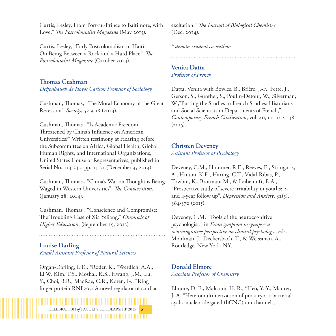Curtis, Lesley, From Port-au-Prince to Baltimore, with Love," *The Postcolonialist Magazine* (May 2015).

Curtis, Lesley, "Early Postcolonialism in Haiti: On Being Between a Rock and a Hard Place," *The Postcolonialist Magazine* (October 2014).

#### **Thomas Cushman**

*Deffenbaugh de Hoyos Carlson Professor of Sociology*

Cushman, Thomas, "The Moral Economy of the Great Recession". *Society*, 52:9-18 (2014).

Cushman, Thomas , "Is Academic Freedom Threatened by China's Influence on American Universities?" Written testimony at Hearing before the Subcommittee on Africa, Global Health, Global Human Rights, and International Organizations, United States House of Representatives, published in Serial No. 113-230, pp. 15-31 (December 4, 2014).

Cushman, Thomas , "China's War on Thought is Being Waged in Western Universities". *The Conversation*, (January 28, 2014).

Cushman, Thomas , "Conscience and Compromise: The Troubling Case of Xia Yeliang." *Chronicle of Higher Education*, (September 19, 2013).

#### **Louise Darling**

*Knafel Assistant Professor of Natural Sciences*

Organ-Darling, L.E., \*Roder, K., \*Werdich, A.A., Li W, Kim, T.Y., Moshal, K.S., Hwang, J.M., Lu, Y., Choi, B.R., MacRae, C.R., Koren, G., "Ring finger protein RNF207: A novel regulator of cardiac

CELEBRATION *of* FACULTY SCHOLARSHIP 2015 *8*

excitation." *The Journal of Biological Chemistry* (Dec. 2014).

*\* denotes student co-authors*

## **Venita Datta** *Professor of French*

Datta, Venita with Bowles, B., Brière, J.-F., Fette, J., Gerson, S., Gunther, S., Poulin-Detour, W., Silverman, W.,"Putting the Studies in French Studies: Historians and Social Scientists in Departments of French," *Contemporary French Civilization*, vol. 40, no. 1: 25-48  $(2015).$ 

# **Christen Deveney** *Assistant Professor of Psychology*

Deveney, C.M., Hommer, R.E., Reeves, E., Stringaris, A., Hinton, K.E., Haring, C.T., Vidal-Ribas, P., Towbin, K., Brotman, M., & Leibenluft, E.A., "Prospective study of severe irritability in youths: 2 and 4-year follow up". *Depression and Anxiety*, 32(5), 364-372 (2015).

Deveney, C.M. "Tools of the neurocognitive psychologist." in *From symptom to synapse: a neurocognitive perspective on clinical psychology.*, eds. Mohlman, J., Deckersbach, T., & Weissman, A., Routledge. New York, NY.

# **Donald Elmore**

*Associate Professor of Chemistry*

Elmore, D. E., Malcolm, H. R., \*Heo, Y.-Y., Maurer, J. A. "Heteromultimerization of prokaryotic bacterial cyclic nucleotide gated (bCNG) ion channels,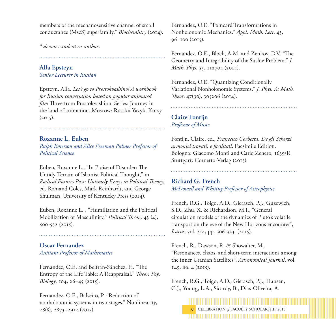members of the mechanosensitive channel of small conductance (MscS) superfamily." *Biochemistry* (2014).

*\* denotes student co-authors*

# **Alla Epsteyn**

*Senior Lecturer in Russian*

Epsteyn, Alla. *Let's go to Prostokvashino! A workbook for Russian conversation based on popular animated film* Three from Prostokvashino. Series: Journey in the land of animation. Moscow: Russkii Yazyk, Kursy  $(2015).$ 

#### **Roxanne L. Euben**

*Ralph Emerson and Alice Freeman Palmer Professor of Political Science*

Euben, Roxanne L., "In Praise of Disorder: The Untidy Terrain of Islamist Political Thought," in *Radical Futures Past: Untimely Essays in Political Theory*, ed. Romand Coles, Mark Reinhardt, and George Shulman, University of Kentucky Press (2014).

Euben, Roxanne L. , "Humiliation and the Political Mobilization of Masculinity," *Political Theory* 43 (4), 500-532 (2015).

#### **Oscar Fernandez**

*Assistant Professor of Mathematics*

Fernandez, O.E. and Beltrán-Sánchez, H. "The Entropy of the Life Table: A Reappraisal." *Theor. Pop. Biology*, 104, 26–45 (2015).

Fernandez, O.E., Balseiro, P. "Reduction of nonholonomic systems in two stages." Nonlinearity,  $28(8)$ ,  $2873-2912$  (2015).

Fernandez, O.E. "Poincaré Transformations in Nonholonomic Mechanics." *Appl. Math. Lett*. 43, 96–100 (2015).

Fernandez, O.E., Bloch, A.M. and Zenkov, D.V. "The Geometry and Integrability of the Suslov Problem." *J. Math. Phys*. 55, 112704 (2014).

Fernandez, O.E. "Quantizing Conditionally Variational Nonholonomic Systems." *J. Phys. A: Math. Theor*. 47(30), 305206 (2014).

# **Claire Fontijn** *Professor of Music*

Fontijn, Claire, ed., *Francesco Corbetta. De gli Scherzi armonici trovati, e facilitati*. Facsimile Edition. Bologna: Giacomo Monti and Carlo Zenero, 1639/R Stuttgart: Cornetto-Verlag (2013).

# **Richard G. French** *McDowell and Whiting Professor of Astrophysics*

French, R.G., Toigo, A.D., Gierasch, P.J., Guzewich, S.D., Zhu, X. & Richardson, M.I., "General circulation models of the dynamics of Pluto's volatile transport on the eve of the New Horizons encounter", *Icarus*, vol. 254, pp. 306-323. (2015).

French, R., Dawson, R. & Showalter, M., "Resonances, chaos, and short-term interactions among the inner Uranian Satellites", *Astronomical Journal*, vol. 149, no. 4 (2015).

French, R.G., Toigo, A.D., Gierasch, P.J., Hansen, C.J., Young, L.A., Sicardy, B., Dias-Oliveira, A.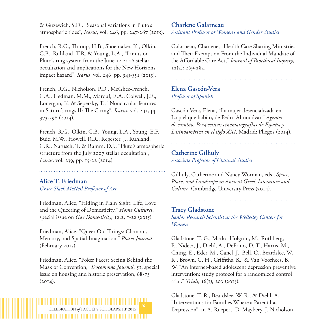& Guzewich, S.D., "Seasonal variations in Pluto's atmospheric tides", *Icarus*, vol. 246, pp. 247-267 (2015).

French, R.G., Throop, H.B., Shoemaker, K., Olkin, C.B., Ruhland, T.R. & Young, L.A., "Limits on Pluto's ring system from the June 12 2006 stellar occultation and implications for the New Horizons impact hazard", *Icarus*, vol. 246, pp. 345-351 (2015).

French, R.G., Nicholson, P.D., McGhee-French, C.A., Hedman, M.M., Marouf, E.A., Colwell, J.E., Lonergan, K. & Sepersky, T., "Noncircular features in Saturn's rings II: The C ring", *Icarus*, vol. 241, pp. 373-396 (2014).

French, R.G., Olkin, C.B., Young, L.A., Young, E.F., Buie, M.W., Howell, R.R., Regester, J., Ruhland, C.R., Natusch, T. & Ramm, D.J., "Pluto's atmospheric structure from the July 2007 stellar occultation", *Icarus*, vol. 239, pp. 15-22 (2014).

# **Alice T. Friedman** *Grace Slack McNeil Professor of Art*

Friedman, Alice, "Hiding in Plain Sight: Life, Love and the Queering of Domesticity," *Home Cultures*, special issue on *Gay Domesticity*, 12:2, 1-22 (2015).

Friedman, Alice. "Queer Old Things: Glamour, Memory, and Spatial Imagination," *Places Journal* (February 2015).

Friedman, Alice. "Poker Faces: Seeing Behind the Mask of Convention," *Docomomo Journal*, 51, special issue on housing and historic preservation, 68-73  $(2014).$ 

# **Charlene Galarneau** *Assistant Professor of Women's and Gender Studies*

Galarneau, Charlene, "Health Care Sharing Ministries and Their Exemption From the Individual Mandate of the Affordable Care Act," *Journal of Bioethical Inquiry*, 12(2): 269-282.

# **Elena Gascón-Vera** *Professor of Spanish*

Gascón-Vera, Elena, "La mujer desencializada en La piel que habito, de Pedro Almodóvar." *Agentes de cambio. Perspectivas cinematografías de España y Latinoamérica en el siglo XXI*, Madrid: Pliegos (2014).

# **Catherine Gilhuly**

*Associate Professor of Classical Studies*

Gilhuly, Catherine and Nancy Worman, eds., *Space, Place, and Landscape in Ancient Greek Literature and Culture*, Cambridge University Press (2014).

#### **Tracy Gladstone**

*Senior Research Scientist at the Wellesley Centers for Women*

Gladstone, T. G., Marko-Holguin, M., Rothberg, P., Nidetz, J., Diehl, A., DeFrino, D. T., Harris, M., Ching, E., Eder, M., Canel, J., Bell, C., Beardslee, W. R., Brown, C. H., Griffiths, K., & Van Voorhees, B. W. "An internet-based adolescent depression preventive intervention: study protocol for a randomized control trial." *Trials*, 16(1), 203 (2015).

Gladstone, T. R., Beardslee, W. R., & Diehl, A. "Interventions for Families Where a Parent has Depression", in A. Ruepert, D. Maybery, J. Nicholson,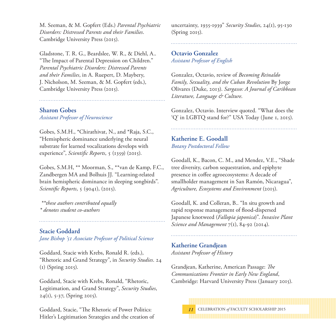M. Seeman, & M. Gopfert (Eds.) *Parental Psychiatric Disorders: Distressed Parents and their Families*. Cambridge University Press (2015).

Gladstone, T. R. G., Beardslee, W. R., & Diehl, A.. "The Impact of Parental Depression on Children." *Parental Psychiatric Disorders: Distressed Parents and their Families*, in A. Ruepert, D. Maybery, J. Nicholson, M. Seeman, & M. Gopfert (eds.), Cambridge University Press (2015).

# **Sharon Gobes** *Assistant Professor of Neuroscience*

Gobes, S.M.H., \*Chirathivat, N., and \*Raja, S.C., "Hemispheric dominance underlying the neural substrate for learned vocalizations develops with experience", *Scientific Reports*, 5 (1359) (2015).

Gobes, S.M.H, \*\* Moorman, S., \*\*van de Kamp, F.C., Zandbergen MA and Bolhuis JJ. "Learning-related brain hemispheric dominance in sleeping songbirds". *Scientific Reports*, 5 (9041), (2015).

 *\*\*these authors contributed equally \* denotes student co-authors*

# **Stacie Goddard**

*Jane Bishop '51 Associate Professor of Political Science*

Goddard, Stacie with Krebs, Ronald R. (eds.), "Rhetoric and Grand Strategy", in *Security Studies*. 24 (1) (Spring 2015).

Goddard, Stacie with Krebs, Ronald, "Rhetoric, Legitimation, and Grand Strategy", *Security Studies*,  $24(1)$ , 5-37, (Spring 2015).

Goddard, Stacie, "The Rhetoric of Power Politics: Hitler's Legitimation Strategies and the creation of uncertainty, 1935-1939" *Security Studies*, 24(1), 95-130 (Spring 2015).

# **Octavio Gonzalez** *Assistant Professor of English*

Gonzalez, Octavio, review of *Becoming Reinaldo Family, Sexuality, and the Cuban Revolution* By Jorge Olivares (Duke, 2013). *Sargasso: A Journal of Caribbean Literature, Language & Culture*.

Gonzalez, Octavio. Interview quoted. "What does the 'Q' in LGBTQ stand for?" USA Today (June 1, 2015).

# **Katherine E. Goodall** *Botany Postdoctoral Fellow*

Goodall, K., Bacon, C. M., and Mendez, V.E., "Shade tree diversity, carbon sequestration, and epiphyte presence in coffee agroecosystems: A decade of smallholder management in San Ramón, Nicaragua", *Agriculture, Ecosystems and Environment* (2015).

Goodall, K. and Colleran, B.. "In situ growth and rapid response management of flood-dispersed Japanese knotweed (*Fallopia japonica*)". *Invasive Plant Science and Management* 7(1), 84-92 (2014).

# **Katherine Grandjean**

*Assistant Professor of History*

Grandjean, Katherine, American Passage: *The Communications Frontier in Early New England*, Cambridge: Harvard University Press (January 2015).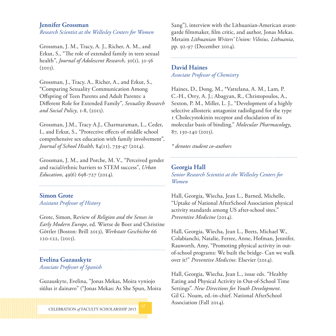# **Jennifer Grossman**

*Research Scientist at the Wellesley Centers for Women*

Grossman, J. M., Tracy, A. J., Richer, A. M., and Erkut, S., "The role of extended family in teen sexual health", *Journal of Adolescent Research*, 30(1), 31-56  $(2015).$ 

Grossman, J., Tracy, A., Richer, A., and Erkut, S., "Comparing Sexuality Communication Among Offspring of Teen Parents and Adult Parents: a Different Role for Extended Family", *Sexuality Research and Social Policy*, 1-8, (2015).

Grossman, J.M., Tracy A.J., Charmaraman, L., Ceder, I., and Erkut, S., "Protective effects of middle school comprehensive sex education with family involvement", *Journal of School Health*, 84(11), 739-47 (2014).

Grossman, J. M., and Porche, M. V., "Perceived gender and racial/ethnic barriers to STEM success", *Urban Education*, 49(6) 698-727 (2014).

## **Simon Grote** *Assistant Professor of History*

Grote, Simon, Review of *Religion and the Senses in Early Modern Europe*, ed. Wietse de Boer and Christine Göttler (Boston: Brill 2013), *Werkstatt Geschichte* 66 120-122, (2015).

# **Evelina Guzauskyte**

*Associate Professor of Spanish* 

Guzauskyte, Evelina, "Jonas Mekas, Moira vyniojo siūlus ir dainavo" ("Jonas Mekas: As She Spun, Moira

CELEBRATION *of* FACULTY SCHOLARSHIP 2015 *12*

Sang"), interview with the Lithuanian-American avantgarde filmmaker, film critic, and author, Jonas Mekas. Metaim *Lithuanian Writers' Union: Vilnius, Lithuania*, pp. 92-97 (December 2014).

# **David Haines** *Associate Professor of Chemistry*

Haines, D., Dong, M., \*Vattelana, A. M., Lam, P. C.-H., Orry, A. J.; Abagyan, R., Christopoulos, A., Sexton, P. M., Miller, L. J., "Development of a highly selective allosteric antagonist radioligand for the type 1 Cholecystokinin receptor and elucidation of its molecular basis of binding." *Molecular Pharmacology*, 87, 130-140 (2015).

*\* denotes student co-authors*

**Georgia Hall**

*Senior Research Scientist at the Wellesley Centers for Women*

Hall, Georgia, Wiecha, Jean L., Barned, Michelle, "Uptake of National AfterSchool Association physical activity standards among US after-school sites." *Preventive Medicine* (2014).

Hall, Georgia, Wiecha, Jean L., Beets, Michael W., Colabianchi, Natalie, Ferree, Anne, Hofman, Jennifer, Rauworth, Amy, "Promoting physical activity in outof-school programs: We built the bridge- Can we walk over it?" *Preventive Medicine*. Elsevier (2014).

Hall, Georgia, Wiecha, Jean L., issue eds. "Healthy Eating and Physical Activity in Out-of-School Time Settings". *New Directions for Youth Development*. Gil G. Noam, ed.-in-chief. National AfterSchool Association (Fall 2014).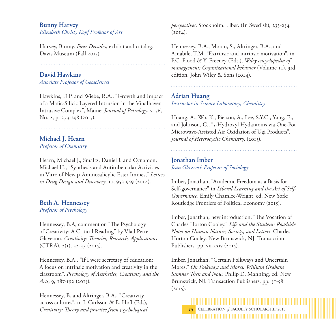## **Bunny Harvey** *Elizabeth Christy Kopf Professor of Art*

Harvey, Bunny. *Four Decades*, exhibit and catalog. Davis Museum (Fall 2015).

# **David Hawkins**

*Associate Professor of Geosciences*

Hawkins, D.P. and Wiebe, R.A., "Growth and Impact of a Mafic-Silicic Layered Intrusion in the Vinalhaven Intrusive Complex", Maine: *Journal of Petrology*, v. 56, No. 2, p. 273-298 (2015).

# **Michael J. Hearn**

*Professor of Chemistry*

Hearn, Michael J., Smaltz, Daniel J. and Cynamon, Michael H., "Synthesis and Antitubercular Activities in Vitro of New p-Aminosalicylic Ester Imines," *Letters in Drug Design and Discovery*, 11, 953-959 (2014).

# **Beth A. Hennessey**

*Professor of Psychology*

Hennessey, B.A, comment on "The Psychology of Creativity: A Critical Reading" by Vlad Petre Glaveanu. *Creativity: Theories, Research, Applications*  $(CTRA)$ ,  $2(1)$ ,  $32-37$   $(2015)$ .

Hennessey, B.A., "If I were secretary of education: A focus on intrinsic motivation and creativity in the classroom", *Psychology of Aesthetics, Creativity and the Arts*, 9, 187-192 (2015).

Hennessey, B. and Altringer, B.A., "Creativity across cultures", in I. Carlsson & E. Hoff (Eds), *Creativity: Theory and practice from psychological*  *perspectives*. Stockholm: Liber. (In Swedish), 233-254  $(2014).$ 

Hennessey, B.A., Moran, S., Altringer, B.A., and Amabile, T.M. "Extrinsic and intrinsic motivation", in P.C. Flood & Y. Freeney (Eds.), *Wiley encyclopedia of management: Organizational behavior* (Volume 11), 3rd edition. John Wiley & Sons (2014).

#### **Adrian Huang**

*Instructor in Science Laboratory, Chemistry*

Huang, A., Wo, K., Pierson, A., Lee, S.Y.C., Yang, E., and Johnson, C., "5-Hydroxyl Hydantoins via One-Pot Microwave-Assisted Air Oxidation of Ugi Products". *Journal of Heterocyclic Chemistry.* (2015).

**Jonathan Imber**

*Jean Glasscock Professor of Sociology*

Imber, Jonathan, "Academic Freedom as a Basis for Self-governance" in *Liberal Learning and the Art of Self-Governance*, Emily Chamlee-Wright, ed. New York: Routledge Frontiers of Political Economy (2015).

Imber, Jonathan, new introduction, "The Vocation of Charles Horton Cooley." *Life and the Student: Roadside Notes on Human Nature, Society, and Letters*. Charles Horton Cooley. New Brunswick, NJ: Transaction Publishers. pp. vii-xxiv (2015).

Imber, Jonathan, "Certain Folkways and Uncertain Mores." *On Folkways and Mores: William Graham Sumner Then and Now*. Philip D. Manning, ed. New Brunswick, NJ: Transaction Publishers. pp. 51-58  $(2015).$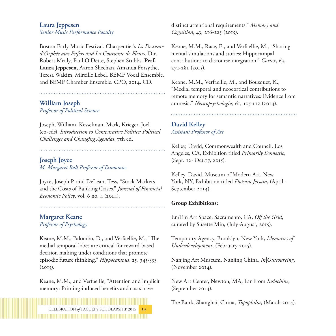#### **Laura Jeppesen** *Senior Music Performance Faculty*

Boston Early Music Festival. Charpentier's *La Descente d'Orphée aux Enfers and La Couronne de Fleurs*. Dir. Robert Mealy, Paul O'Dette, Stephen Stubbs. **Perf. Laura Jeppesen**, Aaron Sheehan, Amanda Forsythe, Teresa Wakim, Mireille Lebel, BEMF Vocal Ensemble, and BEMF Chamber Ensemble. CPO, 2014. CD.

# **William Joseph**

*Professor of Political Science*

Joseph, William, Kesselman, Mark, Krieger, Joel (co-eds), *Introduction to Comparative Politics: Political Challenges and Changing Agendas*, 7th ed.

# **Joseph Joyce** *M. Margaret Ball Professor of Economics*

Joyce, Joseph P. and DeLean, Tess, "Stock Markets and the Costs of Banking Crises," *Journal of Financial Economic Policy*, vol. 6 no. 4 (2014).

# **Margaret Keane** *Professor of Psychology*

Keane, M.M., Palombo, D., and Verfaellie, M., "The medial temporal lobes are critical for reward-based decision making under conditions that promote episodic future thinking." *Hippocampus*, 25, 345-353  $(2015).$ 

Keane, M.M., and Verfaellie, "Attention and implicit memory: Priming-induced benefits and costs have

CELEBRATION *of* FACULTY SCHOLARSHIP 2015 *14*

distinct attentional requirements." *Memory and Cognition*, 43, 216-225 (2015).

Keane, M.M., Race, E., and Verfaellie, M., "Sharing mental simulations and stories: Hippocampal contributions to discourse integration." *Cortex*, 63, 271-281 (2015).

Keane, M.M., Verfaellie, M., and Bousquet, K., "Medial temporal and neocortical contributions to remote memory for semantic narratives: Evidence from amnesia." *Neuropsychologia*, 61, 105-112 (2014).

# **David Kelley** *Assistant Professor of Art*

Kelley, David, Commonwealth and Council, Los Angeles, CA, Exhibition titled *Primarily Domestic*, (Sept. 12- Oct.17, 2015).

Kelley, David, Museum of Modern Art, New York, NY, Exhibition titled *Flotsam Jetsam*, (April - September 2014).

# **Group Exhibitions:**

En/Em Art Space, Sacramento, CA, *Off the Grid*, curated by Susette Min, (July-August, 2015).

Temporary Agency, Brooklyn, New York, *Memories of Underdevelopment*, (February 2015).

Nanjing Art Museum, Nanjing China, *In|Outsourcing*, (November 2014).

New Art Center, Newton, MA, Far From *Indochine*, (September 2014).

The Bank, Shanghai, China, *Topophilia*, (March 2014).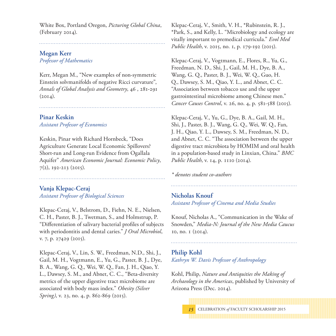White Box, Portland Oregon, *Picturing Global China*, (February 2014).

## **Megan Kerr**

*Professor of Mathematics*

Kerr, Megan M., "New examples of non-symmetric Einstein solvmanifolds of negative Ricci curvature", *Annals of Global Analysis and Geometry*, 46 , 281-291  $(2014).$ 

#### **Pinar Keskin**

*Assistant Professor of Economics*

Keskin, Pinar with Richard Hornbeck, "Does Agriculture Generate Local Economic Spillovers? Short-run and Long-run Evidence from Ogallala Aquifer" *American Economic Journal: Economic Policy*, 7(2), 192-213 (2015).

**Vanja Klepac-Ceraj** *Assistant Professor of Biological Sciences*

Klepac-Ceraj, V., Belstrom, D., Fiehn, N. E., Nielsen, C. H., Paster, B. J., Twetman, S., and Holmstrup, P. "Differentiation of salivary bacterial profiles of subjects with periodontitis and dental caries." *J Oral Microbiol*, v. 7, p. 27429 (2015).

Klepac-Ceraj, V., Lin, S. W., Freedman, N.D., Shi, J., Gail, M. H., Vogtmann, E., Yu, G., Paster, B. J., Dye, B. A., Wang, G. Q., Wei, W. Q., Fan, J. H., Qiao, Y. L., Dawsey, S. M., and Abnet, C. C., "Beta-diversity metrics of the upper digestive tract microbiome are associated with body mass index." *Obesity (Silver Spring*), v. 23, no. 4, p. 862-869 (2015).

Klepac-Ceraj, V., Smith, V. H., \*Rubinstein, R. J., \*Park, S., and Kelly, L. "Microbiology and ecology are vitally important to premedical curricula." *Evol Med Public Health*, v. 2015, no. 1, p. 179-192 (2015).

Klepac-Ceraj, V., Vogtmann, E., Flores, R., Yu, G., Freedman, N. D., Shi, J., Gail, M. H., Dye, B. A., Wang, G. Q., Paster, B. J., Wei, W. Q., Guo, H. Q., Dawsey, S. M., Qiao, Y. L., and Abnet, C. C. "Association between tobacco use and the upper gastrointestinal microbiome among Chinese men." *Cancer Causes Control*, v. 26, no. 4, p. 581-588 (2015).

Klepac-Ceraj, V., Yu, G., Dye, B. A., Gail, M. H., Shi, J., Paster, B. J., Wang, G. Q., Wei, W. Q., Fan, J. H., Qiao, Y. L., Dawsey, S. M., Freedman, N. D., and Abnet, C. C. "The association between the upper digestive tract microbiota by HOMIM and oral health in a population-based study in Linxian, China." *BMC Public Health*, v. 14, p. 1110 (2014).

*\* denotes student co-authors*

**Nicholas Knouf**

*Assistant Professor of Cinema and Media Studies*

Knouf, Nicholas A., "Communication in the Wake of Snowden," *Media-N: Journal of the New Media Caucus*  10, no. 1 (2014).

**Philip Kohl** *Kathryn W. Davis Professor of Anthropology*

Kohl, Philip, *Nature and Antiquities the Making of Archaeology in the Americas*, published by University of Arizona Press (Dec. 2014).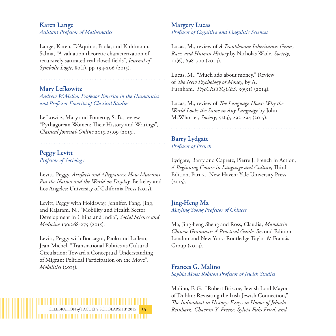#### **Karen Lange** *Assistant Professor of Mathematics*

Lange, Karen, D'Aquino, Paola, and Kuhlmann, Salma, "A valuation theoretic characterization of recursively saturated real closed fields", *Journal of Symbolic Logic*, 80(1), pp 194-206 (2015).

# **Mary Lefkowitz**

*Andrew W.Mellon Professor Emerita in the Humanities and Professor Emerita of Classical Studies*

Lefkowitz, Mary and Pomeroy, S. B., review "Pythagorean Women: Their History and Writings", *Classical Journal-Online* 2015.05.09 (2015).

# **Peggy Levitt**

*Professor of Sociology*

Levitt, Peggy. *Artifacts and Allegiances: How Museums Put the Nation and the World on Display*. Berkeley and Los Angeles: University of California Press (2015).

Levitt, Peggy with Holdaway, Jennifer, Fang, Jing, and Rajaram, N., "Mobility and Health Sector Development in China and India", *Social Science and Medicine* 130:268-275 (2015).

Levitt, Peggy with Boccagni, Paolo and Lafleur, Jean-Michel, "Transnational Politics as Cultural Circulation: Toward a Conceptual Understanding of Migrant Political Participation on the Move", *Mobilities* (2015).

# **Margery Lucas** *Professor of Cognitive and Linguistic Sciences*

Lucas, M., review of *A Troublesome Inheritance: Genes, Race, and Human History* by Nicholas Wade. *Society*, 51(6), 698-700 (2014).

Lucas, M., "Much ado about money." Review of *The New Psychology of Money*, by A. Furnham, *PsycCRITIQUES*, 59(51) (2014).

Lucas, M., review of *The Language Hoax: Why the World Looks the Same in Any Language* by John McWhorter, *Society*, 52(3), 292-294 (2015).

# **Barry Lydgate** *Professor of French*

Lydgate, Barry and Capretz, Pierre J. French in Action, *A Beginning Course in Language and Culture*, Third Edition, Part 2. New Haven: Yale University Press  $(2015).$ 

# **Jing-Heng Ma** *Mayling Soong Professor of Chinese*

Ma, Jing-heng Sheng and Ross, Claudia, *Mandarin Chinese Grammar: A Practical Guide*. Second Edition. London and New York: Routledge Taylor & Francis Group (2014).

# **Frances G. Malino**

*Sophia Moses Robison Professor of Jewish Studies*

Malino, F. G.. "Robert Briscoe, Jewish Lord Mayor of Dublin: Revisiting the Irish-Jewish Connection," *The Individual in History: Essays in Honor of Jehuda Reinharz, Chaeran Y. Freeze, Sylvia Fuks Fried, and*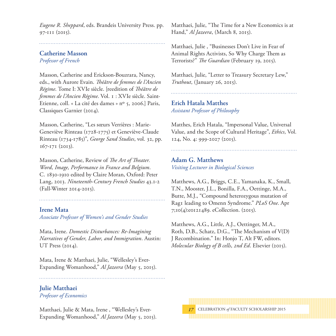*Eugene R. Sheppard*, eds. Brandeis University Press. pp. 97-111 (2015).

# **Catherine Masson**

*Professor of French*

Masson, Catherine and Erickson-Bouzrara, Nancy, eds., with Aurore Evain. *Théâtre de femmes de l'Ancien Régime*. Tome I: XVIe siècle. [reedition of *Théâtre de femmes de l'Ancien Régime*. Vol. 1 : XVIe siècle. Saint-Etienne, coll. « La cité des dames » nº 5, 2006.] Paris, Classiques Garnier (2014).

Masson, Catherine, "Les sœurs Verrières : Marie-Geneviève Rinteau (1728-1775) et Geneviève-Claude Rinteau (1734-1785)", *George Sand Studies*, vol. 32, pp. 167-171 (2013).

Masson, Catherine, Review of *The Art of Theater. Word, Image, Performance in France and Belgium*. C. 1830-1910 edited by Claire Moran, Oxford: Peter Lang, 2013. *Nineteenth-Century French Studies* 43.1-2 (Fall-Winter 2014-2015).

#### **Irene Mata**

*Associate Professor of Women's and Gender Studies*

Mata, Irene. *Domestic Disturbances: Re-Imagining Narratives of Gender, Labor, and Immigration*. Austin: UT Press (2014).

Mata, Irene & Matthaei, Julie, "Wellesley's Ever-Expanding Womanhood," *Al Jazeera* (May 5, 2015).

# **Julie Matthaei**

*Professor of Economics*

Matthaei, Julie & Mata, Irene , "Wellesley's Ever-Expanding Womanhood," *Al Jazeera* (May 5, 2015).

Matthaei, Julie, "The Time for a New Economics is at Hand," *Al Jazeera*, (March 8, 2015).

Matthaei, Julie , "Businesses Don't Live in Fear of Animal Rights Activists, So Why Charge Them as Terrorists?" *The Guardian* (February 19, 2015).

Matthaei, Julie, "Letter to Treasury Secretary Lew," *Truthout*, (January 26, 2015).

# **Erich Hatala Matthes** *Assistant Professor of Philosophy*

Matthes, Erich Hatala, "Impersonal Value, Universal Value, and the Scope of Cultural Heritage", *Ethics*, Vol. 124, No. 4: 999-2027 (2015).

# **Adam G. Matthews**

*Visiting Lecturer in Biological Sciences*

Matthews, A.G., Briggs, C.E., Yamanaka, K., Small, T.N., Mooster, J.L., Bonilla, F.A., Oettinge, M.A., Butte, M.J., "Compound heterozygous mutation of Rag1 leading to Omenn Syndrome." *PLoS One*. Apr 7;10(4):e0121489. eCollection. (2015).

Matthews, A.G., Little, A.J., Oettinger, M.A., Roth, D.B., Schatz, D.G., "The Mechanism of V(D) J Recombination." In: Honjo T, Alt FW, editors. *Molecular Biology of B cells*, *2nd Ed*. Elsevier (2015).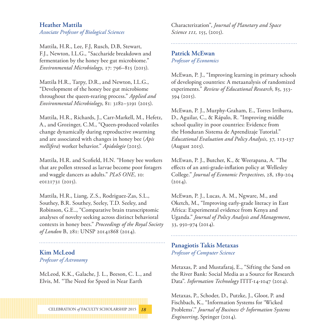# **Heather Mattila**

*Associate Professor of Biological Sciences*

Mattila, H.R., Lee, F.J, Rusch, D.B, Stewart, F.J., Newton, I.L.G., "Saccharide breakdown and fermentation by the honey bee gut microbiome." *Environmental Microbiology*, 17: 796–815 (2015).

Mattila H.R., Tarpy, D.R., and Newton, I.L.G., "Development of the honey bee gut microbiome throughout the queen-rearing process." *Applied and Environmental Microbiology*, 81: 3182–3191 (2015).

Mattila, H.R., Richards, J., Carr-Markell, M., Hefetz, A., and Grozinger, C.M., "Queen-produced volatiles change dynamically during reproductive swarming and are associated with changes in honey bee (*Apis mellifera*) worker behavior." *Apidologie* (2015).

Mattila, H.R. and Scofield, H.N. "Honey bee workers that are pollen stressed as larvae become poor foragers and waggle dancers as adults." *PLoS ONE*, 10: e0121731 (2015).

Mattila, H.R., Liang, Z.S., Rodriguez-Zas, S.L., Southey, B.R. Southey, Seeley, T.D. Seeley, and Robinson, G.E.., "Comparative brain transcriptomic analyses of novelty seeking across distinct behavioral contexts in honey bees." *Proceedings of the Royal Society of London* B, 281: UNSP 20141868 (2014).

# **Kim McLeod**

*Professor of Astronomy*

McLeod, K.K., Galache, J. L., Beeson, C. L., and Elvis, M. "The Need for Speed in Near Earth

CELEBRATION *of* FACULTY SCHOLARSHIP 2015 *18*

Characterization", *Journal of Planetary and Space Science 111,* 155, (2015).

# **Patrick McEwan** *Professor of Economics*

McEwan, P. J., "Improving learning in primary schools of developing countries: A metaanalysis of randomized experiments." *Review of Educational Research*, 85, 353- 394 (2015).

McEwan, P. J., Murphy-Graham, E., Torres Irribarra, D., Aguilar, C., & Rápalo, R. "Improving middle school quality in poor countries: Evidence from the Honduran Sistema de Aprendizaje Tutorial." *Educational Evaluation and Policy Analysis*, 37, 113-137 (August 2015).

McEwan, P. J., Butcher, K., & Weerapana, A. "The effects of an anti-grade-inflation policy at Wellesley College." *Journal of Economic Perspectives*, 28, 189-204  $(2014).$ 

McEwan, P. J., Lucas, A. M., Ngware, M., and Oketch, M., "Improving early-grade literacy in East Africa: Experimental evidence from Kenya and Uganda." *Journal of Policy Analysis and Management*, 33, 950-974 (2014).

#### **Panagiotis Takis Metaxas** *Professor of Computer Science*

Metaxas, P. and Mustafaraj, E., "Sifting the Sand on the River Bank: Social Media as a Source for Research Data". *Information Technology* ITIT-14-1047 (2014).

Metaxas, P., Schoder, D., Putzke, J., Gloor, P. and Fischbach, K., "Information Systems for 'Wicked Problems'." *Journal of Business & Information Systems Engineering*, Springer (2014).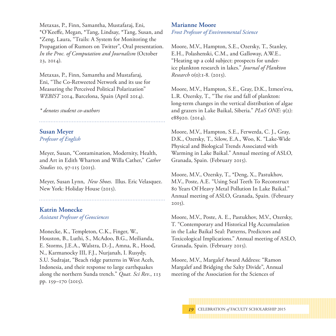Metaxas, P., Finn, Samantha, Mustafaraj, Eni, \*O'Keeffe, Megan, \*Tang, Lindsay, \*Tang, Susan, and \*Zeng, Laura, "Trails: A System for Monitoring the Propagation of Rumors on Twitter", Oral presentation. *In the Proc. of Computation and Journalism* (October 23, 2014).

Metaxas, P., Finn, Samantha and Mustafaraj, Eni, "The Co-Retweeted Network and its use for Measuring the Perceived Political Polarization" *WEBIST* 2014, Barcelona, Spain (April 2014).

#### *\* denotes student co-authors*

#### **Susan Meyer**

*Professor of English*

Meyer, Susan, "Contamination, Modernity, Health, and Art in Edith Wharton and Willa Cather," *Cather Studies* 10, 97-115 (2015).

Meyer, Susan Lynn, *New Shoes*. Illus. Eric Velasquez. New York: Holiday House (2015).

#### **Katrin Monecke**

*Assistant Professor of Geosciences*

Monecke, K., Templeton, C.K., Finger, W., Houston, B., Luthi, S., McAdoo, B.G., Meilianda, E. Storms, J.E.A., Walstra, D.-J., Amna, R., Hood, N., Karmanocky III, F.J., Nurjanah, I. Rusydy, S.U. Sudrajat, "Beach ridge patterns in West Aceh, Indonesia, and their response to large earthquakes along the northern Sunda trench." *Quat. Sci Rev.*, 113 pp. 159–170 (2015).

## **Marianne Moore** *Frost Professor of Environmental Science*

Moore, M.V., Hampton, S.E., Ozersky, T., Stanley, E.H., Polashenski, C.M., and Galloway, A.W.E.. "Heating up a cold subject: prospects for underice plankton research in lakes." *Journal of Plankton Research* 0(0):1-8. (2015).

Moore, M.V., Hampton, S.E., Gray, D.K., Izmest'eva, L.R. Ozersky, T., "The rise and fall of plankton: long-term changes in the vertical distribution of algae and grazers in Lake Baikal, Siberia." *PLoS ONE*: 9(2): e88920. (2014).

Moore, M.V., Hampton, S.E., Ferwerda, C. J., Gray, D.K., Ozersky, T., Silow, E.A., Woo, K. "Lake-Wide Physical and Biological Trends Associated with Warming in Lake Baikal." Annual meeting of ASLO, Granada, Spain. (February 2015).

Moore, M.V., Ozersky, T., \*Deng, X., Pastukhov, M.V., Poste, A.E. "Using Seal Teeth To Reconstruct 80 Years Of Heavy Metal Pollution In Lake Baikal." Annual meeting of ASLO, Granada, Spain. (February 2015).

Moore, M.V., Poste, A. E., Pastukhov, M.V., Ozersky, T. "Contemporary and Historical Hg Accumulation in the Lake Baikal Seal: Patterns, Predictors and Toxicological Implications." Annual meeting of ASLO, Granada, Spain. (February 2015).

Moore, M.V., Margalef Award Address: "Ramon Margalef and Bridging the Salty Divide", Annual meeting of the Association for the Sciences of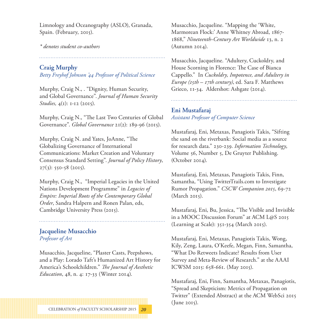Limnology and Oceanography (ASLO), Granada, Spain. (February, 2015).

*\* denotes student co-authors*

# **Craig Murphy**

*Betty Freyhof Johnson '44 Professor of Political Science*

Murphy, Craig N., . "Dignity, Human Security, and Global Governance". *Journal of Human Security Studies,* 4(1): 1-12 (2015).

Murphy, Craig N., "The Last Two Centuries of Global Governance". *Global Governance* 21(2): 189-96 (2015).

Murphy, Craig N. and Yates, JoAnne, "The Globalizing Governance of International Communications: Market Creation and Voluntary Consensus Standard Setting". *Journal of Policy History*, 27(3): 550-58 (2015).

Murphy, Craig N., "Imperial Legacies in the United Nations Development Programme" in *Legacies of Empire: Imperial Roots of the Contemporary Global Order*, Sandra Halpern and Ronen Palan, eds, Cambridge University Press (2015).

# **Jacqueline Musacchio** *Professor of Art*

Musacchio, Jacqueline, "Plaster Casts, Peepshows, and a Play: Lorado Taft's Humanized Art History for America's Schoolchildren." *The Journal of Aesthetic Education*, 48, n. 4: 17-33 (Winter 2014).

Musacchio, Jacqueline. "Mapping the 'White, Marmorean Flock:' Anne Whitney Abroad, 1867- 1868," *Nineteenth-Century Art Worldwide* 13, n. 2 (Autumn 2014).

Musacchio, Jacqueline. "Adultery, Cuckoldry, and House Scorning in Florence: The Case of Bianca Cappello." In *Cuckoldry, Impotence, and Adultery in Europe (15th – 17th century)*, ed. Sara F. Matthews Grieco, 11-34. Aldershot: Ashgate (2014).

# **Eni Mustafaraj** *Assistant Professor of Computer Science*

Mustafaraj, Eni, Metaxas, Panagiotis Takis, "Sifting the sand on the riverbank: Social media as a source for research data." 230-239. *Information Technology*, Volume 56, Number 5, De Gruyter Publishing. (October 2014).

Mustafaraj, Eni, Metaxas, Panagiotis Takis, Finn, Samantha, "Using TwitterTrails.com to Investigate Rumor Propagation." *CSCW Companion 2015*, 69-72 (March 2015).

Mustafaraj, Eni, Bu, Jessica, "The Visible and Invisible in a MOOC Discussion Forum" at ACM L@S 2015 (Learning at Scale): 351-354 (March 2015).

Mustafaraj, Eni, Metaxas, Panagiotis Takis, Wong, Kily, Zeng, Laura, O'Keefe, Megan, Finn, Samantha, "What Do Retweets Indicate? Results from User Survey and Meta-Review of Research." at the AAAI ICWSM 2015: 658-661. (May 2015).

Mustafaraj, Eni, Finn, Samantha, Metaxas, Panagiotis, "Spread and Skepticism: Metrics of Propagation on Twitter" (Extended Abstract) at the ACM WebSci 2015 (June 2015).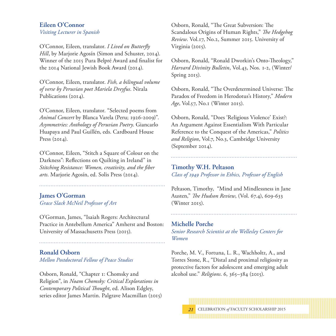# **Eileen O'Connor**

*Visiting Lecturer in Spanish*

O'Connor, Eileen, translator. *I Lived on Butterfly Hill*, by Marjorie Agosín (Simon and Schuster, 2014). Winner of the 2015 Pura Belpré Award and finalist for the 2014 National Jewish Book Award (2014).

O'Connor, Eileen, translator. *Fish, a bilingual volume of verse by Peruvian poet Mariela Dreyfus*. Nirala Publications (2014).

O'Connor, Eileen, translator. "Selected poems from *Animal Concert* by Blanca Varela (Peru; 1926-2009)". *Asymmetries: Anthology of Peruvian Poetry*. Giancarlo Huapaya and Paul Guillén, eds. Cardboard House Press (2014).

O'Connor, Eileen, "Stitch a Square of Colour on the Darkness": Reflections on Quilting in Ireland" in *Stitching Resistance: Women, creativity, and the fiber arts*. Marjorie Agosín, ed. Solis Press (2014).

# **James O'Gorman** *Grace Slack McNeil Professor of Art*

O'Gorman, James, "Isaiah Rogers: Architectural Practice in Antebellum America" Amherst and Boston: University of Massachusetts Press (2015).

# **Ronald Osborn** *Mellon Postdoctoral Fellow of Peace Studies*

Osborn, Ronald, "Chapter 1: Chomsky and Religion", in *Noam Chomsky: Critical Explorations in Contemporary Political Thought*, ed. Alison Edgley, series editor James Martin. Palgrave Macmillan (2015)

Osborn, Ronald, "The Great Subversion: The Scandalous Origins of Human Rights," *The Hedgehog Review*. Vol.17, No.2, Summer 2015. University of Virginia (2015).

Osborn, Ronald, "Ronald Dworkin's Onto-Theology," *Harvard Divinity Bulletin*, Vol.43, Nos. 1-2, (Winter/ Spring 2015).

Osborn, Ronald, "The Overdetermined Universe: The Paradox of Freedom in Herodotus's History," *Modern Age*, Vol.57, No.1 (Winter 2015).

Osborn, Ronald, "Does 'Religious Violence' Exist?: An Argument Against Essentialism With Particular Reference to the Conquest of the Americas," *Politics and Religion*, Vol.7, No.3, Cambridge University (September 2014).

## **Timothy W.H. Peltason**

*Class of 1949 Professor in Ethics, Professor of English*

Peltason, Timothy, "Mind and Mindlessness in Jane Austen," *The Hudson Review*, (Vol. 67.4), 609-633 (Winter 2015).

#### **Michelle Porche**

*Senior Research Scientist at the Wellesley Centers for Women*

Porche, M. V., Fortuna, L. R., Wachholtz, A., and Torres Stone, R., "Distal and proximal religiosity as protective factors for adolescent and emerging adult alcohol use." *Religions*. 6, 365–384 (2015).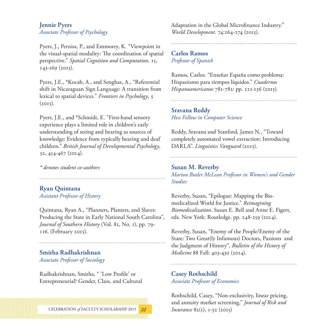# **Jennie Pyers**

*Associate Professor of Psychology*

Pyers, J., Perniss, P., and Emmorey, K. "Viewpoint in the visual-spatial modality: The coordination of spatial perspective." *Spatial Cognition and Computation*. 15, 143-169 (2015).

Pyers, J.E., \*Kocab, A., and Senghas, A., "Referential shift in Nicaraguan Sign Language: A transition from lexical to spatial devices." *Frontiers in Psychology*, 5  $(2015).$ 

Pyers, J.E., and \*Schmidt, E. "First-hand sensory experience plays a limited role in children's early understanding of seeing and hearing as sources of knowledge: Evidence from typically hearing and deaf children." *British Journal of Developmental Psychology*, 32, 454-467 (2014).

*\* denotes student co-authors*

# **Ryan Quintana**

*Assistant Professor of History*

Quintana, Ryan A., "Planners, Planters, and Slaves: Producing the State in Early National South Carolina", *Journal of Southern History* (Vol. 81, No. 1), pp. 79- 116. (February 2015).

# **Smitha Radhakrishnan** *Associate Professor of Sociology*

Radhakrishnan, Smitha, " 'Low Profile' or Entrepreneurial? Gender, Class, and Cultural

CELEBRATION *of* FACULTY SCHOLARSHIP 2015 *22*

Adaptation in the Global Microfinance Industry." *World Development.* 74:264-274 (2015).

# **Carlos Ramos** *Professor of Spanish*

Ramos, Carlos. "Enseñar España como problema: Hispanismo para tiempos líquidos." *Cuadernos Hispanoamericanos* 781-782: pp. 121-136 (2015).

# **Sravana Reddy** *Hess Fellow in Computer Science*

Reddy, Sravana and Stanford, James N., "Toward completely automated vowel extraction: Introducing DARLA". *Linguistics Vanguard* (2015).

## **Susan M. Reverby**

*Marion Butler McLean Professor in Women's and Gender Studies*

Reverby, Susan, "Epilogue: Mapping the Biomedicalized World for Justice." *Reimagining Biomedicalization*. Susan E. Bell and Anne E. Figert, eds. New York: Routledge. pp. 248-259 (2014).

Reverby, Susan, "Enemy of the People/Enemy of the State: Two Great(ly Infamous) Doctors, Passions and the Judgment of History", *Bulletin of the History of Medicine* 88 Fall: 403-430 (2014).

# **Casey Rothschild** *Associate Professor of Economics*

Rothschild, Casey, "Non-exclusivity, linear pricing, and annuity market screening," *Journal of Risk and Insurance* 82(1), 1-32 (2015)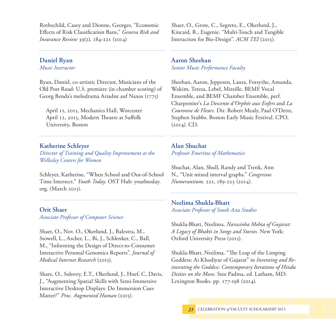Rothschild, Casey and Dionne, Georges, "Economic Effects of Risk Classification Bans," *Geneva Risk and Insurance Review* 39(2), 184-221 (2014)

# **Daniel Ryan**

*Music Instructor*

Ryan, Daniel, co-artistic Director, Musicians of the Old Post Road: U.S. premiere (in chamber scoring) of Georg Benda's melodrama Ariadne auf Naxos (1775)

April 11, 2015, Mechanics Hall, Worcester April 12, 2015, Modern Theatre at Suffolk University, Boston

## **Katherine Schleyer**

*Director of Training and Quality Improvement at the Wellesley Centers for Women*

Schleyer, Katherine, "When School and Out-of-School Time Intersect." *Youth Today*. OST Hub: youthtoday. org. (March 2015).

#### **Orit Shaer**

*Associate Professor of Computer Science*

Shaer, O., Nov. O., Okerlund, J., Balestra, M., Stowell, L., Ascher, L., Bi, J., Schlenker, C., Ball, M., "Informing the Design of Direct-to-Consumer Interactive Personal Genomics Reports". *Journal of Medical Internet Research* (2015).

Share, O., Solovey, E.T., Okerlund, J., Hoef, C, Davis, J., "Augmenting Spatial Skills with Semi-Immersive Interactive Desktop Displays: Do Immersion Cues Matter?" *Proc. Augmented Human* (2015).

Shaer, O., Grote, C., Segreto, E., Okerlund, J., Kincaid, R., Eugenie. "Multi-Touch and Tangible Interaction for Bio-Design". *ACM TEI* (2015).

## **Aaron Sheehan** *Senior Music Performance Faculty*

Sheehan, Aaron, Jeppesen, Laura, Forsythe, Amanda, Wakim, Teresa, Lebel, Mireille, BEMF Vocal Ensemble, and BEMF Chamber Ensemble, perf. Charpentier's *La Descente d'Orphée aux Enfers* and *La Couronne de Fleurs*. Dir. Robert Mealy, Paul O'Dette, Stephen Stubbs. Boston Early Music Festival. CPO, (2014). CD.

# **Alan Shuchat** *Professor Emeritus of Mathematics*

Shuchat, Alan, Shull, Randy and Trenk, Ann N., "Unit mixed interval graphs." *Congressus Numerantium*. 221, 189-223 (2014).

# **Neelima Shukla-Bhatt** *Associate Professor of South Asia Studies*

Shukla-Bhatt, Neelima. *Narasinha Mehta of Gujarat: A Legacy of Bhakti in Songs and Stories*. New York: Oxford University Press (2015).

Shukla-Bhatt, Neelima. "The Leap of the Limping Goddess: Ai Khodiyar of Gujarat" in *Inventing and Reinventing the Goddess: Contemporary Iterations of Hindu Deities on the Move*. Sree Padma, ed. Latham, MD: Lexington Books. pp. 177-198 (2014).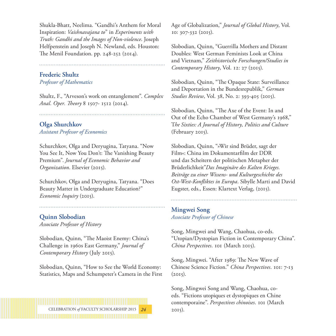Shukla-Bhatt, Neelima. "Gandhi's Anthem for Moral Inspiration: *Vaishnavajana to*" in *Experiments with Truth: Gandhi and the Images of Non-violence*. Joseph Helfpenstein and Joseph N. Newland, eds. Houston: The Menil Foundation. pp. 248-252 (2014).

# **Frederic Shultz**

*Professor of Mathematics*

Shultz, F., "Arveson's work on entanglement". *Complex Anal. Oper. Theory* 8 1507- 1512 (2014).

# **Olga Shurchkov**

*Assistant Professor of Economics*

Schurchkov, Olga and Deryugina, Tatyana. "Now You See It, Now You Don't: The Vanishing Beauty Premium". *Journal of Economic Behavior and Organization*. Elsevier (2015).

Schurchkov, Olga and Deryugina, Tatyana. "Does Beauty Matter in Undergraduate Education?" *Economic Inquiry* (2015).

# **Quinn Slobodian**

*Associate Professor of History*

Slobodian, Quinn, "The Maoist Enemy: China's Challenge in 1960s East Germany," *Journal of Contemporary History* (July 2015).

Slobodian, Quinn, "How to See the World Economy: Statistics, Maps and Schumpeter's Camera in the First Age of Globalization," *Journal of Global History*, Vol. 10: 307-332 (2015).

Slobodian, Quinn, "Guerrilla Mothers and Distant Doubles: West German Feminists Look at China and Vietnam," *Zeithistorische Forschungen/Studies in Contemporary History*, Vol. 12: 27 (2015).

Slobodian, Quinn, "The Opaque State: Surveillance and Deportation in the Bundesrepublik," *German Studies Review*, Vol. 38, No. 2: 393-405 (2015).

Slobodian, Quinn, "The Axe of the Event: In and Out of the Echo Chamber of West Germany's 1968," T*he Sixties: A Journal of History, Politics and Culture* (February 2015).

Slobodian, Quinn, "»Wir sind Brüder, sagt der Film«: China im Dokumentarfilm der DDR und das Scheitern der politischen Metapher der Brüderlichkeit"*Das Imaginäre des Kalten Krieges. Beiträge zu einer Wissens- und Kulturgeschichte des Ost-West-Konfliktes in Europa*. Sibylle Marti and David Eugster, eds., Essen: Klartext Verlag, (2015).

# **Mingwei Song**

*Associate Professor of Chinese*

Song, Mingwei and Wang, Chaohua, co-eds. "Utopian/Dystopian Fiction in Contemporary China". *China Perspectives*. 101 (March 2015).

Song, Mingwei. "After 1989: The New Wave of Chinese Science Fiction." *China Perspectives*. 101: 7-13  $(2015).$ 

Song, Mingwei Song and Wang, Chaohua, coeds. "Fictions utopiques et dystopiques en Chine contemporaine". *Perspectives chinoises*. 101 (March 2015).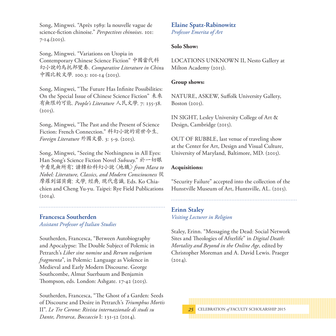Song, Mingwei. "Après 1989: la nouvelle vague de science-fiction chinoise." *Perspectives chinoises*. 101: 7-14.(2015).

Song, Mingwei. "Variations on Utopia in Contemporary Chinese Science Fiction" 中國當代科 幻小說的烏托邦變奏. *Comparative Literature in Chin*a 中國比較文學. 100.3: 101-14 (2015).

Song, Mingwei, "The Future Has Infinite Possibilities: On the Special Issue of Chinese Science Fiction" 未來 有無限的可能. *People's Literature* 人民文學. 7: 135-38.  $(2015).$ 

Song, Mingwei, "The Past and the Present of Science Fiction: French Connection." 科幻小說的前世今生. *Foreign Literature* 外國文藝. 3: 5-9. (2015).

Song, Mingwei, "Seeing the Nothingness in All Eyes: Han Song's Science Fiction Novel *Subway*." 於一切眼 中看見無所有:讀韓松科幻小說〈地鐵〉*from Mara to Nobel: Literature, Classics, and Modern Consciousness* 從 摩羅到諾貝爾: 文學, 經典, 現代意識. Eds. Ko Chiachien and Cheng Yu-yu. Taipei: Rye Field Publications  $(2014).$ 

#### **Francesca Southerden**

*Assistant Professor of Italian Studies*

Southerden, Francesca, "Between Autobiography and Apocalypse: The Double Subject of Polemic in Petrarch's *Liber sine nomine* and *Rerum vulgarium fragmenta*", in Polemic: Language as Violence in Medieval and Early Modern Discourse. George Southcombe, Almut Suerbaum and Benjamin Thompson, eds. London: Ashgate. 17-42 (2015).

Southerden, Francesca, "The Ghost of a Garden: Seeds of Discourse and Desire in Petrarch's *Triumphus Mortis*  II". *Le Tre Corone: Rivista internazionale di studi su Dante, Petrarca, Boccaccio* I: 131-52 (2014).

# **Elaine Spatz-Rabinowitz** *Professor Emerita of Art*

#### **Solo Show:**

LOCATIONS UNKNOWN II, Nesto Gallery at Milton Academy (2015).

#### **Group shows:**

NATURE, ASKEW, Suffolk University Gallery, Boston (2015).

IN SIGHT, Lesley University College of Art & Design, Cambridge (2015).

OUT OF RUBBLE, last venue of traveling show at the Center for Art, Design and Visual Culture, University of Maryland, Baltimore, MD. (2015).

## **Acquisitions:**

"Security Failure" accepted into the collection of the Hunstville Museum of Art, Huntsville, AL. (2015).

# **Erinn Staley**

*Visiting Lecturer in Religion*

Staley, Erinn. "Messaging the Dead: Social Network Sites and Theologies of Afterlife" in *Digital Death: Mortality and Beyond in the Online Age*, edited by Christopher Moreman and A. David Lewis. Praeger  $(2014).$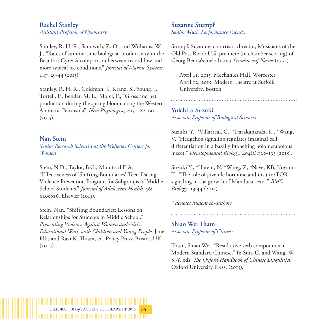# **Rachel Stanley**

*Assistant Professor of Chemistry*

Stanley, R. H. R., Sandwith, Z. O., and Williams, W. J., "Rates of summertime biological productivity in the Beaufort Gyre: A comparison between record-low and more typical ice conditions." *Journal of Marine Systems*. 147, 29-44 (2015).

Stanley, R. H. R., Goldman, J., Kranz, S., Young, J., Tortell, P., Bender, M. L., Morel, F., "Gross and net production during the spring bloom along the Western Antarctic Peninsula". *New Phytologist*, 205. 182-191  $(2015).$ 

#### **Nan Stein**

*Senior Research Scientist at the Wellesley Centers for Women*

Stein, N.D., Taylor, B.G., Mumford E.A. "Effectiveness of 'Shifting Boundaries' Teen Dating Violence Prevention Program for Subgroups of Middle School Students." *Journal of Adolescent Health*. 56: S<sub>20e</sub>S<sub>26</sub>. Elsevier (2015).

Stein, Nan. "Shifting Boundaries: Lessons on Relationships for Students in Middle School." *Preventing Violence Against Women and Girls: Educational Work with Children and Young People*. Jane Ellis and Ravi K. Thiara, ed. Policy Press: Bristol, UK  $(2014).$ 

# **Suzanne Stumpf** *Senior Music Performance Faculty*

Stumpf, Suzanne, co-artistic director, Musicians of the Old Post Road: U.S. premiere (in chamber scoring) of Georg Benda's melodrama *Ariadne auf Naxos* (1775)

April 11, 2015, Mechanics Hall, Worcester April 12, 2015, Modern Theatre at Suffolk University, Boston

# **Yuichiro Suzuki**

*Associate Professor of Biological Sciences*

Suzuki, Y., \*Villarreal, C., \*Darakananda, K., \*Wang, V. "Hedgehog signaling regulates imaginal cell differentiation in a basally branching holometabolous insect." *Developmental Biology*, 404(2):125–135 (2015).

Suzuki Y., \*Hatem, N, \*Wang, Z, \*Nave, KB, Koyama T., "The role of juvenile hormone and insulin/TOR signaling in the growth of Manduca sexta." *BMC Biology*, 13:44 (2015).

*\* denotes student co-authors*

**Shiao Wei Tham** *Associate Professor of Chinese*

Tham, Shiao Wei. "Resultative verb compounds in Modern Standard Chinese." In Sun, C. and Wang, W. S.-Y. eds. *The Oxford Handbook of Chinese Linguistics*. Oxford University Press. (2015).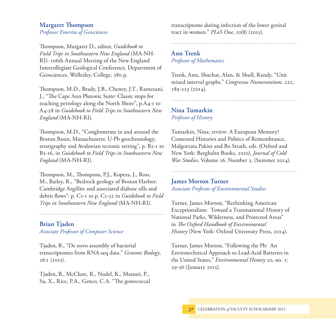### **Margaret Thompson** *Professor Emerita of Geosciences*

Thompson, Margaret D., editor, *Guidebook to Field Trips in Southeastern New England* (MA-NH-RI): 106th Annual Meeting of the New England Intercollegiate Geological Conference, Department of Geosciences, Wellesley, College, 380 p.

Thompson, M.D., Brady, J.B., Cheney, J.T., Ramezani, J., "The Cape Ann Plutonic Suite: Classic stops for teaching petrology along the North Shore", p.A4-1 to A4-28 in *Guidebook to Field Trips in Southeastern New England* (MA-NH-RI).

Thompson, M.D., "Conglomerate in and around the Boston Basin, Massachusetts: U-Pb geochronology, stratigraphy and Avalonian tectonic setting", p. B2-1 to B2-16, in *Guidebook to Field Trips in Southeastern New England* (MA-NH-RI).

Thompson, M., Thompson, P.J., Kopera, J., Ross, M., Bailey, R., "Bedrock geology of Boston Harbor: Cambridge Argillite and associated diabase sills and debris flows": p. C1-1 to p. C1-32 in *Guidebook to Field Trips in Southeastern New England* (MA-NH-RI).

# **Brian Tjaden**

*Associate Professor of Computer Science*

Tjaden, B., "De novo assembly of bacterial transcriptomes from RNA-seq data." *Genome Biology*, 16:1 (2015).

Tjaden, B., McClure, R., Nudel, K., Massari, P., Su, X., Rice, P.A., Genco, C.A. "The gonococcal transcriptome during infection of the lower genital tract in women." *PLoS One*, 10(8) (2015).

# **Ann Trenk** *Professor of Mathematics*

Trenk, Ann, Shuchat, Alan, & Shull, Randy, "Unit mixed interval graphs." *Congressus Numerantium*. 221, 189-223 (2014).

# **Nina Tumarkin** *Professor of History*

Tumarkin, Nina, review: A European Memory? Contested Histories and Politics of Remembrance, Malgorzata Pakier and Bo Strath, eds. (Oxford and New York: Berghahn Books, 2010), *Journal of Cold War Studies*, Volume 16, Number 3, (Summer 2014).

# **James Morton Turner** *Associate Professor of Environmental Studies*

Turner, James Morton, "Rethinking American Exceptionalism: Toward a Transnational History of National Parks, Wilderness, and Protected Areas" in *The Oxford Handbook of Environmental History* (New York: Oxford University Press, 2014).

Turner, James Morton, "Following the Pb: An Envirotechnical Approach to Lead-Acid Batteries in the United States," *Environmental History* 20, no. 1: 29-56 (January 2015).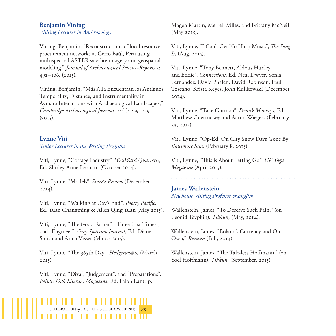# **Benjamin Vining**

*Visiting Lecturer in Anthropology*

Vining, Benjamin, "Reconstructions of local resource procurement networks at Cerro Baúl, Peru using multispectral ASTER satellite imagery and geospatial modeling," *Journal of Archaeological Science-Reports* 2: 492–506. (2015).

Vining, Benjamin, "Más Allá Encuentran los Antiguos: Temporality, Distance, and Instrumentality in Aymara Interactions with Archaeological Landscapes," *Cambridge Archaeological Journal*. 25(1): 239–259  $(2015).$ 

# **Lynne Viti** *Senior Lecturer in the Writing Program*

Viti, Lynne, "Cottage Industry". *WestWard Quarterly*, Ed. Shirley Anne Leonard (October 2014).

Viti, Lynne, "Models". *Star82 Review* (December 2014).

Viti, Lynne, "Walking at Day's End". *Poetry Pacific*, Ed. Yuan Changming & Allen Qing Yuan (May 2015).

Viti, Lynne, "The Good Father", "Three Last Times", and "Engineer". *Grey Sparrow Journal*, Ed. Diane Smith and Anna Visser (March 2015).

Viti, Lynne, "The 365th Day". *Hedgerow#19* (March 2015).

Viti, Lynne, "Diva", "Judgement", and "Preparations". *Foliate Oak Literary Magazine*. Ed. Falon Lantrip,

Magen Martin, Merrell Miles, and Brittany McNeil (May 2015).

Viti, Lynne, "I Can't Get No Harp Music", *The Song Is*, (Aug. 2015).

Viti, Lynne, "Tony Bennett, Aldous Huxley, and Eddie". *Connections*. Ed. Neal Dwyer, Sonia Fernandez, David Phalen, David Robinson, Paul Toscano, Krista Keyes, John Kulikowski (December 2014).

Viti, Lynne, "Take Gutman". *Drunk Monkeys*, Ed. Matthew Guerruckey and Aaron Wiegert (February 23, 2015).

Viti, Lynne, "Op-Ed: On City Snow Days Gone By". *Baltimore Sun*. (February 8, 2015).

Viti, Lynne, "This is About Letting Go". *UK Yoga Magazine* (April 2015).

**James Wallenstein** *Newhouse Visiting Professor of English*

Wallenstein, James, "To Deserve Such Pain," (on Leonid Tsypkin): *Tikkun*, (May, 2014).

Wallenstein, James, "Bolaño's Currency and Our Own," *Raritan* (Fall, 2014).

Wallenstein, James, "The Tale-less Hoffmann," (on Yoel Hoffmann): *Tikkun*, (September, 2015).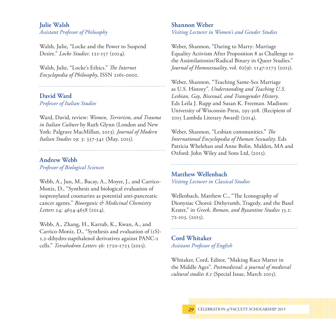# **Julie Walsh** *Assistant Professor of Philosophy*

Walsh, Julie, "Locke and the Power to Suspend Desire." *Locke Studies*: 121-157 (2014).

Walsh, Julie, "Locke's Ethics." *The Internet Encyclopedia of Philosophy*, ISSN 2161-0002.

# **David Ward** *Professor of Italian Studies*

Ward, David, review: *Women, Terrorism, and Trauma in Italian Culture* by Ruth Glynn (London and New York: Palgrave MacMillan, 2013). *Journal of Modern Italian Studies* 19: 3: 337-341 (May, 2015).

# **Andrew Webb**

*Professor of Biological Sciences*

Webb, A., Jun, M., Bacay, A., Moyer, J., and Carrico-Moniz, D., "Synthesis and biological evaluation of isoprenylated coumarins as potential anti-pancreatic cancer agents." *Bioorganic & Medicinal Chemistry Letters* 24: 4654-4658 (2014).

Webb, A., Zhang, H., Kartub, K., Kwan, A., and Carrico-Moniz, D., "Synthesis and evaluation of (1S)- 1,2-dihydro-napthalenol derivatives against PANC-1 cells." *Tetrahedron Letters* 56: 1720-1723 (2015).

# **Shannon Weber** *Visiting Lecturer in Women's and Gender Studies*

Weber, Shannon, "Daring to Marry: Marriage Equality Activism After Proposition 8 as Challenge to the Assimilationist/Radical Binary in Queer Studies." *Journal of Homosexuality*, vol. 62(9): 1147-1173 (2015).

Weber, Shannon, "Teaching Same-Sex Marriage as U.S. History". *Understanding and Teaching U.S. Lesbian, Gay, Bisexual, and Transgender History*. Eds Leila J. Rupp and Susan K. Freeman. Madison: University of Wisconsin Press, 295-308. (Recipient of 2015 Lambda Literary Award) (2014).

Weber, Shannon, "Lesbian communities." *The International Encyclopedia of Human Sexuality*. Eds Patricia Whelehan and Anne Bolin. Malden, MA and Oxford: John Wiley and Sons Ltd, (2015).

# **Matthew Wellenbach** *Visiting Lecturer in Classical Studies*

Wellenbach, Matthew C., "The Iconography of Dionysiac Choroi: Dithyramb, Tragedy, and the Basel Krater," in *Greek, Roman, and Byzantine Studies* 55.1: 72-103. (2015).

# **Cord Whitaker** *Assistant Professor of English*

Whitaker, Cord, Editor, "Making Race Matter in the Middle Ages". *Postmedieval: a journal of medieval cultural studies 6.1* (Special Issue, March 2015).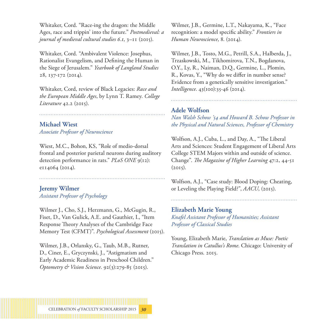Whitaker, Cord. "Race-ing the dragon: the Middle Ages, race and trippin' into the future." *Postmedieval: a journal of medieval cultural studies 6.1*, 3–11 (2015).

Whitaker, Cord. "Ambivalent Violence: Josephus, Rationalist Evangelism, and Defining the Human in the Siege of Jerusalem." *Yearbook of Langland Studies* 28, 137-172 (2014).

Whitaker, Cord, review of Black Legacies: *Race and the European Middle Ages*, by Lynn T. Ramey. *College Literature* 42.2 (2015).

# **Michael Wiest**

*Associate Professor of Neuroscience*

Wiest, M.C., Bohon, KS, "Role of medio-dorsal frontal and posterior parietal neurons during auditory detection performance in rats." *PLoS ONE* 9(12): e114064 (2014).

## **Jeremy Wilmer** *Assistant Professor of Psychology*

Wilmer J., Cho, S.J., Herzmann, G., McGugin, R., Fiset, D., Van Gulick, A.E. and Gauthier, I., "Item Response Theory Analyses of the Cambridge Face Memory Test (CFMT)". *Psychological Assessment* (2015).

Wilmer, J.B., Orlansky, G., Taub, M.B., Rutner, D., Ciner, E., Gryczynski, J., "Astigmatism and Early Academic Readiness in Preschool Children." *Optometry & Vision Science*. 92(3):279-85 (2015).

Wilmer, J.B., Germine, L.T., Nakayama, K., "Face recognition: a model specific ability." *Frontiers in Human Neuroscience*, 8. (2014).

Wilmer, J.B., Tosto, M.G., Petrill, S.A., Halberda, J., Trzaskowski, M., Tikhomirova, T.N., Bogdanova, O.Y., Ly, R., Naiman, D.Q., Germine, L., Plomin, R., Kovas, Y., "Why do we differ in number sense? Evidence from a genetically sensitive investigation." *Intelligence*. 43(100):35-46 (2014).

## **Adele Wolfson**

*Nan Walsh Schow '54 and Howard B. Schow Professor in the Physical and Natural Sciences, Professor of Chemistry*

Wolfson, A.J., Cuba, L., and Day, A., "The Liberal Arts and Sciences: Student Engagement of Liberal Arts College STEM Majors within and outside of science. Change". *The Magazine of Higher Learning* 47:2, 44-51  $(2015).$ 

Wolfson, A.J., "Case study: Blood Doping: Cheating, or Leveling the Playing Field?", *AACU*, (2015).

# **Elizabeth Marie Young**

*Knafel Assistant Professor of Humanities; Assistant Professor of Classical Studies*

Young, Elizabeth Marie, *Translation as Muse: Poetic Translation in Catullus's Rome*. Chicago: University of Chicago Press. 2015.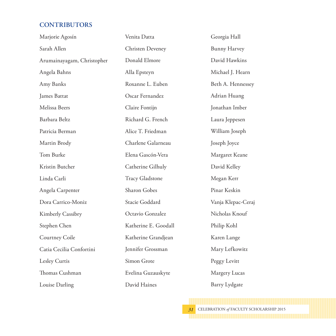# **CONTRIBUTORS**

| Marjorie Agosín            | Venita Datta           | Georgia Hall        |
|----------------------------|------------------------|---------------------|
| Sarah Allen                | Christen Deveney       | <b>Bunny Harvey</b> |
| Arumainayagam, Christopher | Donald Elmore          | David Hawkins       |
| Angela Bahns               | Alla Epsteyn           | Michael J. Hearn    |
| Amy Banks                  | Roxanne L. Euben       | Beth A. Hennessey   |
| James Battat               | Oscar Fernandez        | Adrian Huang        |
| Melissa Beers              | Claire Fontijn         | Jonathan Imber      |
| Barbara Beltz              | Richard G. French      | Laura Jeppesen      |
| Patricia Berman            | Alice T. Friedman      | William Joseph      |
| Martin Brody               | Charlene Galarneau     | Joseph Joyce        |
| Tom Burke                  | Elena Gascón-Vera      | Margaret Keane      |
| Kristin Butcher            | Catherine Gilhuly      | David Kelley        |
| Linda Carli                | <b>Tracy Gladstone</b> | Megan Kerr          |
| Angela Carpenter           | Sharon Gobes           | Pinar Keskin        |
| Dora Carrico-Moniz         | Stacie Goddard         | Vanja Klepac-Ceraj  |
| Kimberly Cassibry          | Octavio Gonzalez       | Nicholas Knouf      |
| Stephen Chen               | Katherine E. Goodall   | Philip Kohl         |
| Courtney Coile             | Katherine Grandjean    | Karen Lange         |
| Catia Cecilia Confortini   | Jennifer Grossman      | Mary Lefkowitz      |
| Lesley Curtis              | Simon Grote            | Peggy Levitt        |
| Thomas Cushman             | Evelina Guzauskyte     | Margery Lucas       |
| Louise Darling             | David Haines           | Barry Lydgate       |